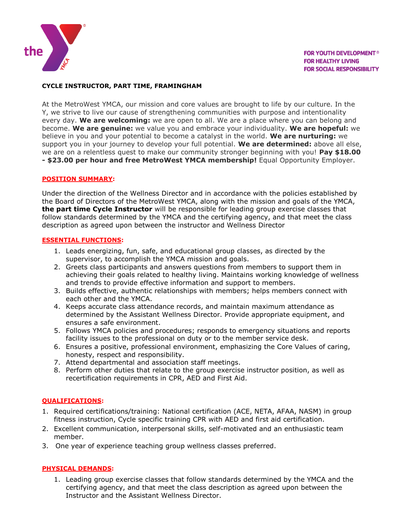

# **CYCLE INSTRUCTOR, PART TIME, FRAMINGHAM**

At the MetroWest YMCA, our mission and core values are brought to life by our culture. In the Y, we strive to live our cause of strengthening communities with purpose and intentionality every day. **We are welcoming:** we are open to all. We are a place where you can belong and become. **We are genuine:** we value you and embrace your individuality. **We are hopeful:** we believe in you and your potential to become a catalyst in the world. **We are nurturing:** we support you in your journey to develop your full potential. **We are determined:** above all else, we are on a relentless quest to make our community stronger beginning with you! **Pay \$18.00 - \$23.00 per hour and free MetroWest YMCA membership!** Equal Opportunity Employer.

## **POSITION SUMMARY:**

Under the direction of the Wellness Director and in accordance with the policies established by the Board of Directors of the MetroWest YMCA, along with the mission and goals of the YMCA, **the part time Cycle Instructor** will be responsible for leading group exercise classes that follow standards determined by the YMCA and the certifying agency, and that meet the class description as agreed upon between the instructor and Wellness Director

## **ESSENTIAL FUNCTIONS:**

- 1. Leads energizing, fun, safe, and educational group classes, as directed by the supervisor, to accomplish the YMCA mission and goals.
- 2. Greets class participants and answers questions from members to support them in achieving their goals related to healthy living. Maintains working knowledge of wellness and trends to provide effective information and support to members.
- 3. Builds effective, authentic relationships with members; helps members connect with each other and the YMCA.
- 4. Keeps accurate class attendance records, and maintain maximum attendance as determined by the Assistant Wellness Director. Provide appropriate equipment, and ensures a safe environment.
- 5. Follows YMCA policies and procedures; responds to emergency situations and reports facility issues to the professional on duty or to the member service desk.
- 6. Ensures a positive, professional environment, emphasizing the Core Values of caring, honesty, respect and responsibility.
- 7. Attend departmental and association staff meetings.
- 8. Perform other duties that relate to the group exercise instructor position, as well as recertification requirements in CPR, AED and First Aid.

# **QUALIFICATIONS:**

- 1. Required certifications/training: National certification (ACE, NETA, AFAA, NASM) in group fitness instruction, Cycle specific training CPR with AED and first aid certification.
- 2. Excellent communication, interpersonal skills, self-motivated and an enthusiastic team member.
- 3. One year of experience teaching group wellness classes preferred.

# **PHYSICAL DEMANDS:**

1. Leading group exercise classes that follow standards determined by the YMCA and the certifying agency, and that meet the class description as agreed upon between the Instructor and the Assistant Wellness Director.